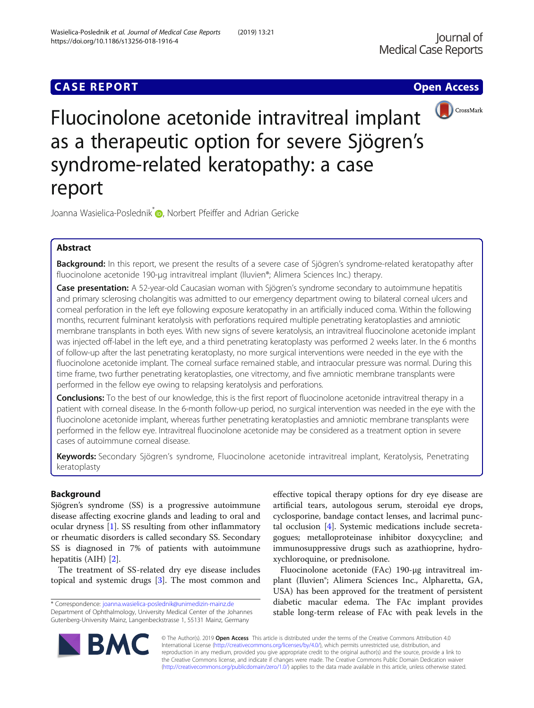# **CASE REPORT CASE ACCESS**





Fluocinolone acetonide intravitreal implant as a therapeutic option for severe Sjögren's syndrome-related keratopathy: a case report

Joanna Wasielica-Poslednik<sup>\*</sup> <sub>D</sub>[,](http://orcid.org/0000-0002-7025-8280) Norbert Pfeiffer and Adrian Gericke

# Abstract

Background: In this report, we present the results of a severe case of Sjögren's syndrome-related keratopathy after fluocinolone acetonide 190-μg intravitreal implant (Iluvien®; Alimera Sciences Inc.) therapy.

Case presentation: A 52-year-old Caucasian woman with Sjögren's syndrome secondary to autoimmune hepatitis and primary sclerosing cholangitis was admitted to our emergency department owing to bilateral corneal ulcers and corneal perforation in the left eye following exposure keratopathy in an artificially induced coma. Within the following months, recurrent fulminant keratolysis with perforations required multiple penetrating keratoplasties and amniotic membrane transplants in both eyes. With new signs of severe keratolysis, an intravitreal fluocinolone acetonide implant was injected off-label in the left eye, and a third penetrating keratoplasty was performed 2 weeks later. In the 6 months of follow-up after the last penetrating keratoplasty, no more surgical interventions were needed in the eye with the fluocinolone acetonide implant. The corneal surface remained stable, and intraocular pressure was normal. During this time frame, two further penetrating keratoplasties, one vitrectomy, and five amniotic membrane transplants were performed in the fellow eye owing to relapsing keratolysis and perforations.

**Conclusions:** To the best of our knowledge, this is the first report of fluocinolone acetonide intravitreal therapy in a patient with corneal disease. In the 6-month follow-up period, no surgical intervention was needed in the eye with the fluocinolone acetonide implant, whereas further penetrating keratoplasties and amniotic membrane transplants were performed in the fellow eye. Intravitreal fluocinolone acetonide may be considered as a treatment option in severe cases of autoimmune corneal disease.

Keywords: Secondary Sjögren's syndrome, Fluocinolone acetonide intravitreal implant, Keratolysis, Penetrating keratoplasty

# Background

Sjögren's syndrome (SS) is a progressive autoimmune disease affecting exocrine glands and leading to oral and ocular dryness [\[1](#page-2-0)]. SS resulting from other inflammatory or rheumatic disorders is called secondary SS. Secondary SS is diagnosed in 7% of patients with autoimmune hepatitis (AIH) [\[2](#page-2-0)].

The treatment of SS-related dry eye disease includes topical and systemic drugs [\[3\]](#page-2-0). The most common and

\* Correspondence: [joanna.wasielica-poslednik@unimedizin-mainz.de](mailto:joanna.wasielica-poslednik@unimedizin-mainz.de) Department of Ophthalmology, University Medical Center of the Johannes Gutenberg-University Mainz, Langenbeckstrasse 1, 55131 Mainz, Germany

effective topical therapy options for dry eye disease are artificial tears, autologous serum, steroidal eye drops, cyclosporine, bandage contact lenses, and lacrimal punctal occlusion [[4\]](#page-2-0). Systemic medications include secretagogues; metalloproteinase inhibitor doxycycline; and immunosuppressive drugs such as azathioprine, hydroxychloroquine, or prednisolone.

Fluocinolone acetonide (FAc) 190-μg intravitreal implant (Iluvien<sup>®</sup>; Alimera Sciences Inc., Alpharetta, GA, USA) has been approved for the treatment of persistent diabetic macular edema. The FAc implant provides stable long-term release of FAc with peak levels in the



© The Author(s). 2019 Open Access This article is distributed under the terms of the Creative Commons Attribution 4.0 International License [\(http://creativecommons.org/licenses/by/4.0/](http://creativecommons.org/licenses/by/4.0/)), which permits unrestricted use, distribution, and reproduction in any medium, provided you give appropriate credit to the original author(s) and the source, provide a link to the Creative Commons license, and indicate if changes were made. The Creative Commons Public Domain Dedication waiver [\(http://creativecommons.org/publicdomain/zero/1.0/](http://creativecommons.org/publicdomain/zero/1.0/)) applies to the data made available in this article, unless otherwise stated.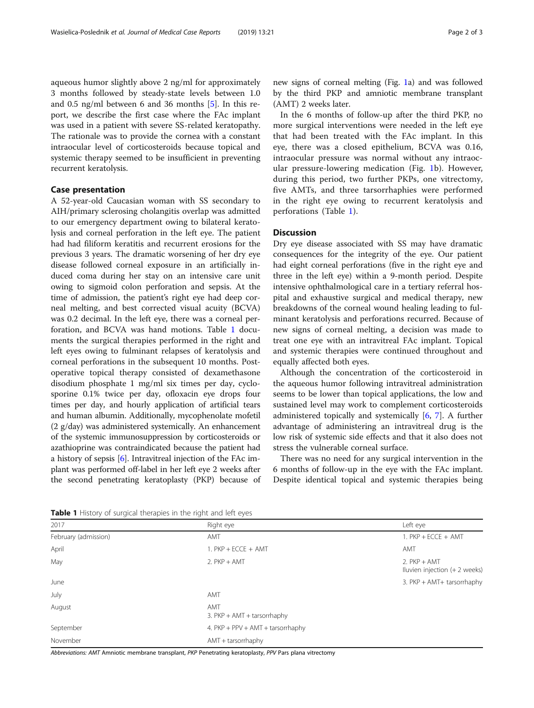aqueous humor slightly above 2 ng/ml for approximately 3 months followed by steady-state levels between 1.0 and 0.5 ng/ml between 6 and 36 months [\[5](#page-2-0)]. In this report, we describe the first case where the FAc implant was used in a patient with severe SS-related keratopathy. The rationale was to provide the cornea with a constant intraocular level of corticosteroids because topical and systemic therapy seemed to be insufficient in preventing recurrent keratolysis.

# Case presentation

A 52-year-old Caucasian woman with SS secondary to AIH/primary sclerosing cholangitis overlap was admitted to our emergency department owing to bilateral keratolysis and corneal perforation in the left eye. The patient had had filiform keratitis and recurrent erosions for the previous 3 years. The dramatic worsening of her dry eye disease followed corneal exposure in an artificially induced coma during her stay on an intensive care unit owing to sigmoid colon perforation and sepsis. At the time of admission, the patient's right eye had deep corneal melting, and best corrected visual acuity (BCVA) was 0.2 decimal. In the left eye, there was a corneal perforation, and BCVA was hand motions. Table 1 documents the surgical therapies performed in the right and left eyes owing to fulminant relapses of keratolysis and corneal perforations in the subsequent 10 months. Postoperative topical therapy consisted of dexamethasone disodium phosphate 1 mg/ml six times per day, cyclosporine 0.1% twice per day, ofloxacin eye drops four times per day, and hourly application of artificial tears and human albumin. Additionally, mycophenolate mofetil (2 g/day) was administered systemically. An enhancement of the systemic immunosuppression by corticosteroids or azathioprine was contraindicated because the patient had a history of sepsis [\[6\]](#page-2-0). Intravitreal injection of the FAc implant was performed off-label in her left eye 2 weeks after the second penetrating keratoplasty (PKP) because of new signs of corneal melting (Fig. [1](#page-2-0)a) and was followed by the third PKP and amniotic membrane transplant (AMT) 2 weeks later.

In the 6 months of follow-up after the third PKP, no more surgical interventions were needed in the left eye that had been treated with the FAc implant. In this eye, there was a closed epithelium, BCVA was 0.16, intraocular pressure was normal without any intraocular pressure-lowering medication (Fig. [1](#page-2-0)b). However, during this period, two further PKPs, one vitrectomy, five AMTs, and three tarsorrhaphies were performed in the right eye owing to recurrent keratolysis and perforations (Table 1).

# **Discussion**

Dry eye disease associated with SS may have dramatic consequences for the integrity of the eye. Our patient had eight corneal perforations (five in the right eye and three in the left eye) within a 9-month period. Despite intensive ophthalmological care in a tertiary referral hospital and exhaustive surgical and medical therapy, new breakdowns of the corneal wound healing leading to fulminant keratolysis and perforations recurred. Because of new signs of corneal melting, a decision was made to treat one eye with an intravitreal FAc implant. Topical and systemic therapies were continued throughout and equally affected both eyes.

Although the concentration of the corticosteroid in the aqueous humor following intravitreal administration seems to be lower than topical applications, the low and sustained level may work to complement corticosteroids administered topically and systemically [\[6](#page-2-0), [7](#page-2-0)]. A further advantage of administering an intravitreal drug is the low risk of systemic side effects and that it also does not stress the vulnerable corneal surface.

There was no need for any surgical intervention in the 6 months of follow-up in the eye with the FAc implant. Despite identical topical and systemic therapies being

Table 1 History of surgical therapies in the right and left eyes

| 2017                 | Right eye                            | Left eye                                        |
|----------------------|--------------------------------------|-------------------------------------------------|
| February (admission) | AMT                                  | 1. $PKP + ECCE + AMT$                           |
| April                | 1. $PKP + ECCE + AMT$                | AMT                                             |
| May                  | $2.$ PKP + AMT                       | $2.$ PKP + AMT<br>Iluvien injection (+ 2 weeks) |
| June                 |                                      | 3. PKP + AMT+ tarsorrhaphy                      |
| July                 | AMT                                  |                                                 |
| August               | AMT<br>3. $PKP + AMT + tarsorrhaphy$ |                                                 |
| September            | 4. PKP + PPV + AMT + tarsorrhaphy    |                                                 |
| November             | AMT + tarsorrhaphy                   |                                                 |

Abbreviations: AMT Amniotic membrane transplant, PKP Penetrating keratoplasty, PPV Pars plana vitrectomy